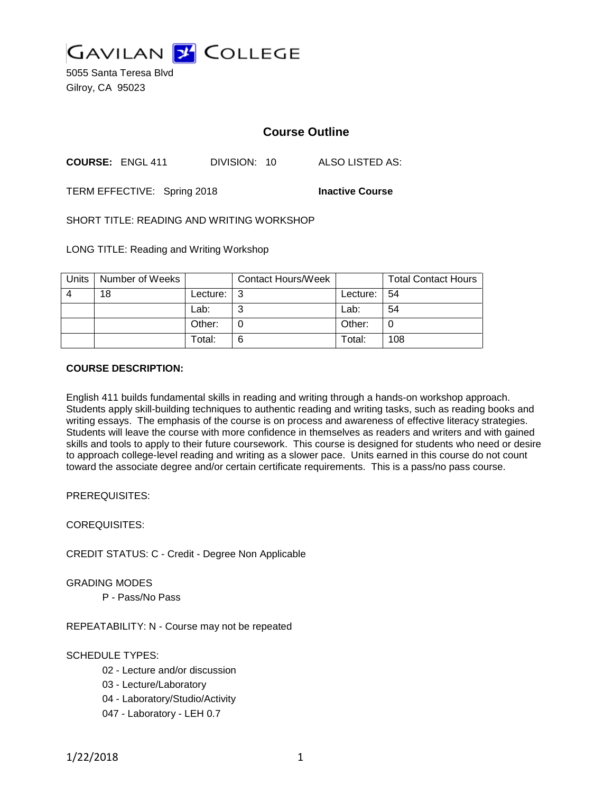

5055 Santa Teresa Blvd Gilroy, CA 95023

# **Course Outline**

**COURSE:** ENGL 411 DIVISION: 10 ALSO LISTED AS:

TERM EFFECTIVE: Spring 2018 **Inactive Course**

SHORT TITLE: READING AND WRITING WORKSHOP

LONG TITLE: Reading and Writing Workshop

| <b>Units</b> | Number of Weeks |            | Contact Hours/Week |          | <b>Total Contact Hours</b> |
|--------------|-----------------|------------|--------------------|----------|----------------------------|
| Δ            | 18              | Lecture: I | - 3                | Lecture: | 54                         |
|              |                 | Lab:       |                    | Lab:     | 54                         |
|              |                 | Other:     |                    | Other:   | 0                          |
|              |                 | Total:     |                    | Total:   | 108                        |

## **COURSE DESCRIPTION:**

English 411 builds fundamental skills in reading and writing through a hands-on workshop approach. Students apply skill-building techniques to authentic reading and writing tasks, such as reading books and writing essays. The emphasis of the course is on process and awareness of effective literacy strategies. Students will leave the course with more confidence in themselves as readers and writers and with gained skills and tools to apply to their future coursework. This course is designed for students who need or desire to approach college-level reading and writing as a slower pace. Units earned in this course do not count toward the associate degree and/or certain certificate requirements. This is a pass/no pass course.

PREREQUISITES:

COREQUISITES:

CREDIT STATUS: C - Credit - Degree Non Applicable

GRADING MODES

P - Pass/No Pass

REPEATABILITY: N - Course may not be repeated

## SCHEDULE TYPES:

- 02 Lecture and/or discussion
- 03 Lecture/Laboratory
- 04 Laboratory/Studio/Activity
- 047 Laboratory LEH 0.7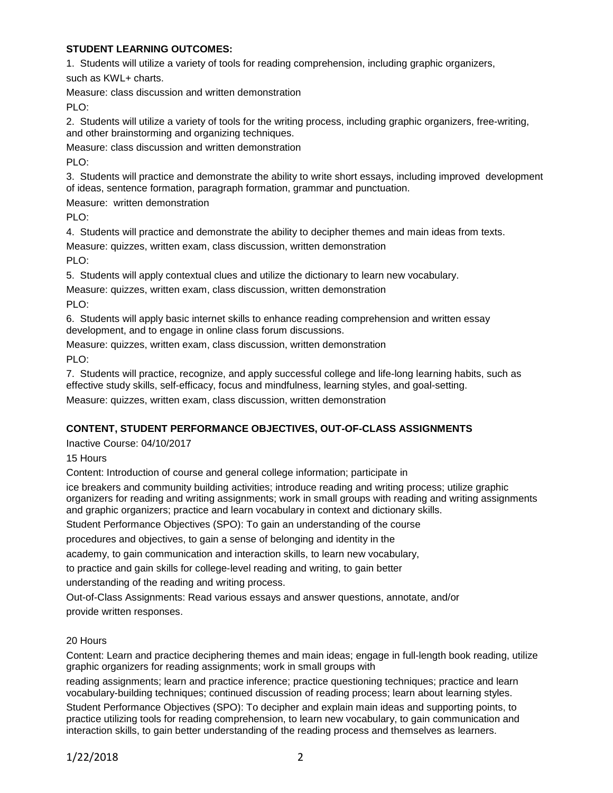## **STUDENT LEARNING OUTCOMES:**

1. Students will utilize a variety of tools for reading comprehension, including graphic organizers,

such as KWL+ charts.

Measure: class discussion and written demonstration

PLO:

2. Students will utilize a variety of tools for the writing process, including graphic organizers, free-writing, and other brainstorming and organizing techniques.

Measure: class discussion and written demonstration

PLO:

3. Students will practice and demonstrate the ability to write short essays, including improved development of ideas, sentence formation, paragraph formation, grammar and punctuation.

Measure: written demonstration

PLO:

4. Students will practice and demonstrate the ability to decipher themes and main ideas from texts.

Measure: quizzes, written exam, class discussion, written demonstration PLO:

5. Students will apply contextual clues and utilize the dictionary to learn new vocabulary.

Measure: quizzes, written exam, class discussion, written demonstration

PLO:

6. Students will apply basic internet skills to enhance reading comprehension and written essay development, and to engage in online class forum discussions.

Measure: quizzes, written exam, class discussion, written demonstration PLO:

7. Students will practice, recognize, and apply successful college and life-long learning habits, such as effective study skills, self-efficacy, focus and mindfulness, learning styles, and goal-setting. Measure: quizzes, written exam, class discussion, written demonstration

# **CONTENT, STUDENT PERFORMANCE OBJECTIVES, OUT-OF-CLASS ASSIGNMENTS**

Inactive Course: 04/10/2017

15 Hours

Content: Introduction of course and general college information; participate in

ice breakers and community building activities; introduce reading and writing process; utilize graphic organizers for reading and writing assignments; work in small groups with reading and writing assignments and graphic organizers; practice and learn vocabulary in context and dictionary skills.

Student Performance Objectives (SPO): To gain an understanding of the course

procedures and objectives, to gain a sense of belonging and identity in the

academy, to gain communication and interaction skills, to learn new vocabulary,

to practice and gain skills for college-level reading and writing, to gain better

understanding of the reading and writing process.

Out-of-Class Assignments: Read various essays and answer questions, annotate, and/or provide written responses.

# 20 Hours

Content: Learn and practice deciphering themes and main ideas; engage in full-length book reading, utilize graphic organizers for reading assignments; work in small groups with

reading assignments; learn and practice inference; practice questioning techniques; practice and learn vocabulary-building techniques; continued discussion of reading process; learn about learning styles.

Student Performance Objectives (SPO): To decipher and explain main ideas and supporting points, to practice utilizing tools for reading comprehension, to learn new vocabulary, to gain communication and interaction skills, to gain better understanding of the reading process and themselves as learners.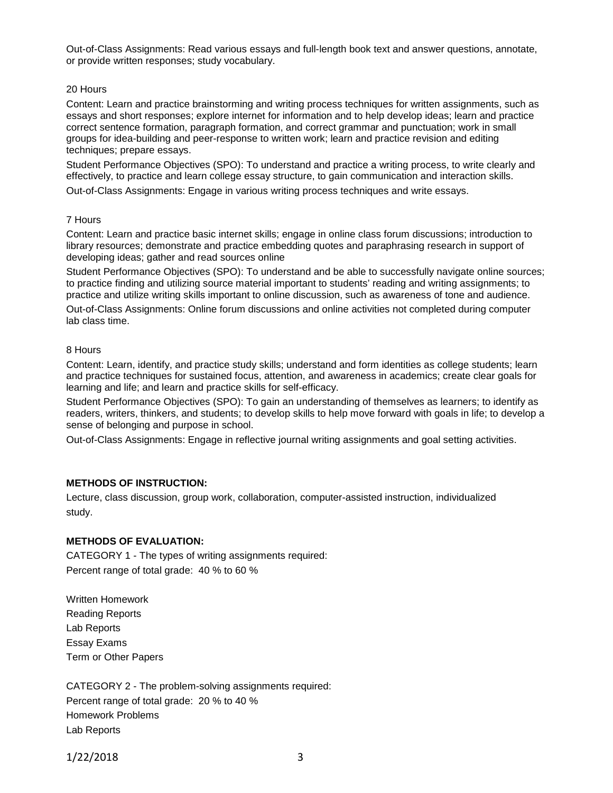Out-of-Class Assignments: Read various essays and full-length book text and answer questions, annotate, or provide written responses; study vocabulary.

### 20 Hours

Content: Learn and practice brainstorming and writing process techniques for written assignments, such as essays and short responses; explore internet for information and to help develop ideas; learn and practice correct sentence formation, paragraph formation, and correct grammar and punctuation; work in small groups for idea-building and peer-response to written work; learn and practice revision and editing techniques; prepare essays.

Student Performance Objectives (SPO): To understand and practice a writing process, to write clearly and effectively, to practice and learn college essay structure, to gain communication and interaction skills.

Out-of-Class Assignments: Engage in various writing process techniques and write essays.

#### 7 Hours

Content: Learn and practice basic internet skills; engage in online class forum discussions; introduction to library resources; demonstrate and practice embedding quotes and paraphrasing research in support of developing ideas; gather and read sources online

Student Performance Objectives (SPO): To understand and be able to successfully navigate online sources; to practice finding and utilizing source material important to students' reading and writing assignments; to practice and utilize writing skills important to online discussion, such as awareness of tone and audience.

Out-of-Class Assignments: Online forum discussions and online activities not completed during computer lab class time.

#### 8 Hours

Content: Learn, identify, and practice study skills; understand and form identities as college students; learn and practice techniques for sustained focus, attention, and awareness in academics; create clear goals for learning and life; and learn and practice skills for self-efficacy.

Student Performance Objectives (SPO): To gain an understanding of themselves as learners; to identify as readers, writers, thinkers, and students; to develop skills to help move forward with goals in life; to develop a sense of belonging and purpose in school.

Out-of-Class Assignments: Engage in reflective journal writing assignments and goal setting activities.

### **METHODS OF INSTRUCTION:**

Lecture, class discussion, group work, collaboration, computer-assisted instruction, individualized study.

### **METHODS OF EVALUATION:**

CATEGORY 1 - The types of writing assignments required: Percent range of total grade: 40 % to 60 %

Written Homework Reading Reports Lab Reports Essay Exams Term or Other Papers

CATEGORY 2 - The problem-solving assignments required: Percent range of total grade: 20 % to 40 % Homework Problems Lab Reports

1/22/2018 3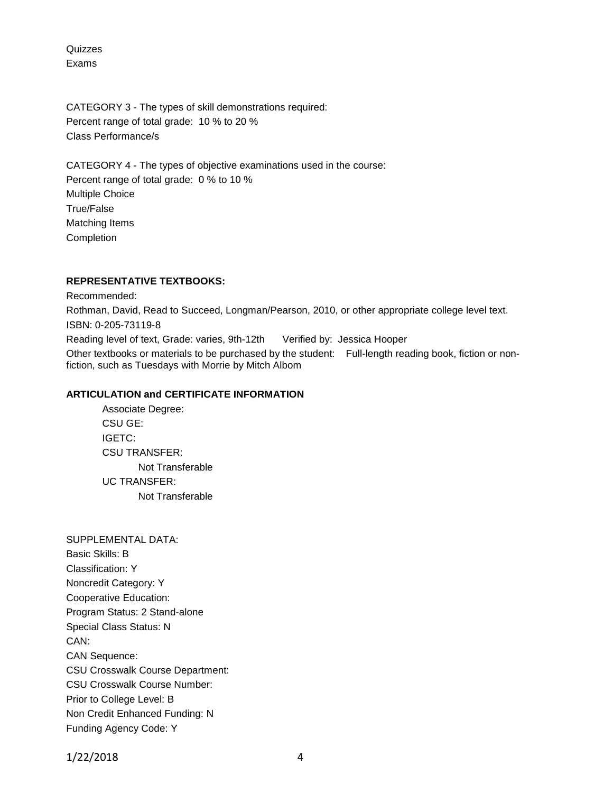Quizzes Exams

CATEGORY 3 - The types of skill demonstrations required: Percent range of total grade: 10 % to 20 % Class Performance/s

CATEGORY 4 - The types of objective examinations used in the course: Percent range of total grade: 0 % to 10 % Multiple Choice True/False Matching Items Completion

## **REPRESENTATIVE TEXTBOOKS:**

Recommended: Rothman, David, Read to Succeed, Longman/Pearson, 2010, or other appropriate college level text. ISBN: 0-205-73119-8 Reading level of text, Grade: varies, 9th-12th Verified by: Jessica Hooper Other textbooks or materials to be purchased by the student: Full-length reading book, fiction or nonfiction, such as Tuesdays with Morrie by Mitch Albom

## **ARTICULATION and CERTIFICATE INFORMATION**

Associate Degree: CSU GE: IGETC: CSU TRANSFER: Not Transferable UC TRANSFER: Not Transferable

SUPPLEMENTAL DATA: Basic Skills: B Classification: Y Noncredit Category: Y Cooperative Education: Program Status: 2 Stand-alone Special Class Status: N CAN: CAN Sequence: CSU Crosswalk Course Department: CSU Crosswalk Course Number: Prior to College Level: B Non Credit Enhanced Funding: N Funding Agency Code: Y

1/22/2018 4